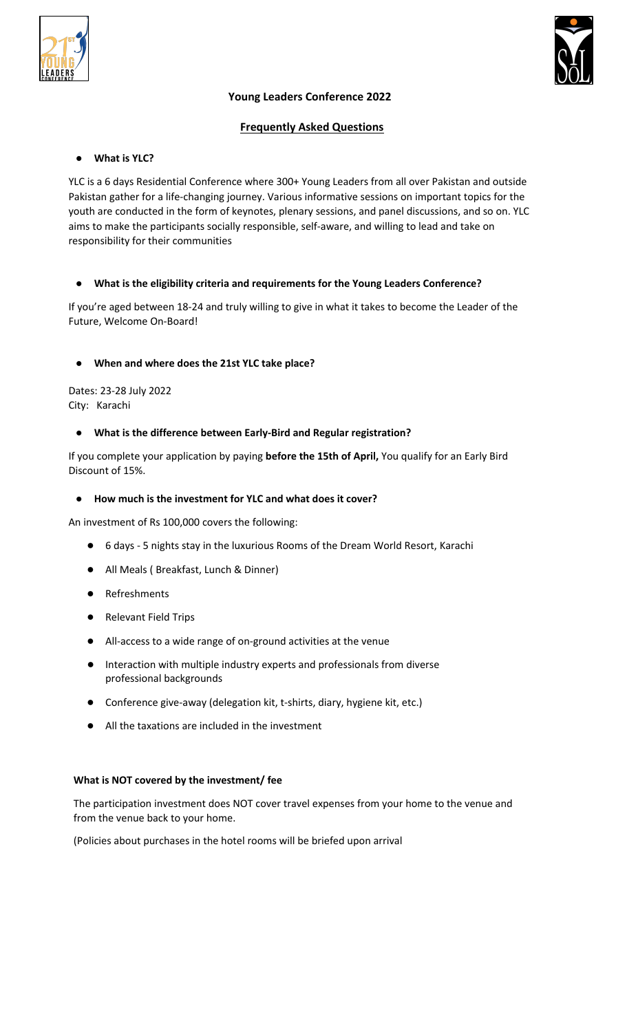



## **Young Leaders Conference 2022**

## **Frequently Asked Questions**

## ● **What is YLC?**

YLC is a 6 days Residential Conference where 300+ Young Leaders from all over Pakistan and outside Pakistan gather for a life-changing journey. Various informative sessions on important topics for the youth are conducted in the form of keynotes, plenary sessions, and panel discussions, and so on. YLC aims to make the participants socially responsible, self-aware, and willing to lead and take on responsibility for their communities

## ● **What is the eligibility criteria and requirements for the Young Leaders Conference?**

If you're aged between 18-24 and truly willing to give in what it takes to become the Leader of the Future, Welcome On-Board!

## ● **When and where does the 21st YLC take place?**

Dates: 23-28 July 2022 City: Karachi

## ● **What is the difference between Early-Bird and Regular registration?**

If you complete your application by paying **before the 15th of April,** You qualify for an Early Bird Discount of 15%.

## ● **How much is the investment for YLC and what does it cover?**

An investment of Rs 100,000 covers the following:

- 6 days 5 nights stay in the luxurious Rooms of the Dream World Resort, Karachi
- All Meals ( Breakfast, Lunch & Dinner)
- **Refreshments**
- Relevant Field Trips
- All-access to a wide range of on-ground activities at the venue
- Interaction with multiple industry experts and professionals from diverse professional backgrounds
- Conference give-away (delegation kit, t-shirts, diary, hygiene kit, etc.)
- All the taxations are included in the investment

## **What is NOT covered by the investment/ fee**

The participation investment does NOT cover travel expenses from your home to the venue and from the venue back to your home.

(Policies about purchases in the hotel rooms will be briefed upon arrival